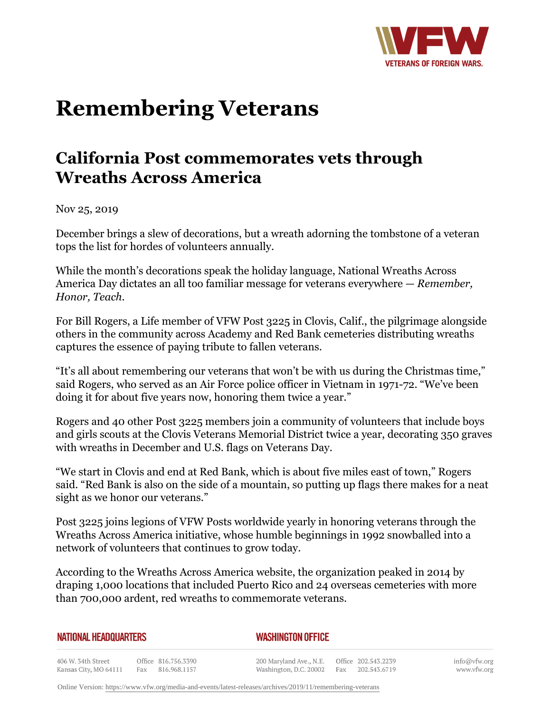

## **Remembering Veterans**

## **California Post commemorates vets through Wreaths Across America**

Nov 25, 2019

December brings a slew of decorations, but a wreath adorning the tombstone of a veteran tops the list for hordes of volunteers annually.

While the month's decorations speak the holiday language, National Wreaths Across America Day dictates an all too familiar message for veterans everywhere — *Remember, Honor, Teach*.

For Bill Rogers, a Life member of VFW Post 3225 in Clovis, Calif., the pilgrimage alongside others in the community across Academy and Red Bank cemeteries distributing wreaths captures the essence of paying tribute to fallen veterans.

"It's all about remembering our veterans that won't be with us during the Christmas time," said Rogers, who served as an Air Force police officer in Vietnam in 1971-72. "We've been doing it for about five years now, honoring them twice a year."

Rogers and 40 other Post 3225 members join a community of volunteers that include boys and girls scouts at the Clovis Veterans Memorial District twice a year, decorating 350 graves with wreaths in December and U.S. flags on Veterans Day.

"We start in Clovis and end at Red Bank, which is about five miles east of town," Rogers said. "Red Bank is also on the side of a mountain, so putting up flags there makes for a neat sight as we honor our veterans."

Post 3225 joins legions of VFW Posts worldwide yearly in honoring veterans through the Wreaths Across America initiative, whose humble beginnings in 1992 snowballed into a network of volunteers that continues to grow today.

According to the Wreaths Across America website, the organization peaked in 2014 by draping 1,000 locations that included Puerto Rico and 24 overseas cemeteries with more than 700,000 ardent, red wreaths to commemorate veterans.

| NATIONAL HEADQUARTERS |  |
|-----------------------|--|
|-----------------------|--|

## *WASHINGTON OFFICE*

406 W. 34th Street Office 816.756.3390 Kansas City, MO 64111 Fax 816.968.1157

200 Maryland Ave., N.E. Washington, D.C. 20002

Office 202.543.2239 Fax 202.543.6719